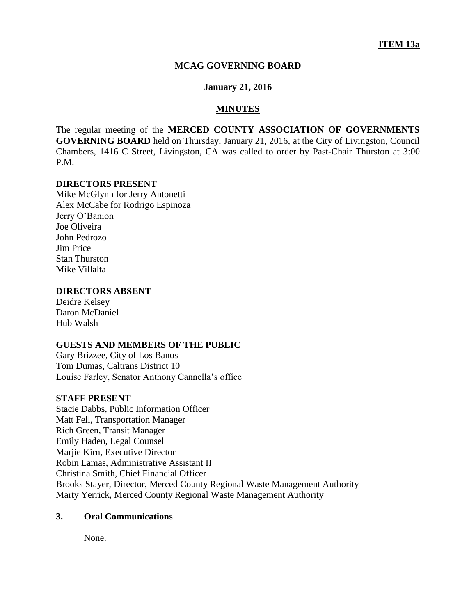### **MCAG GOVERNING BOARD**

### **January 21, 2016**

#### **MINUTES**

The regular meeting of the **MERCED COUNTY ASSOCIATION OF GOVERNMENTS GOVERNING BOARD** held on Thursday, January 21, 2016, at the City of Livingston, Council Chambers, 1416 C Street, Livingston, CA was called to order by Past-Chair Thurston at 3:00 P.M.

#### **DIRECTORS PRESENT**

Mike McGlynn for Jerry Antonetti Alex McCabe for Rodrigo Espinoza Jerry O'Banion Joe Oliveira John Pedrozo Jim Price Stan Thurston Mike Villalta

# **DIRECTORS ABSENT**

Deidre Kelsey Daron McDaniel Hub Walsh

# **GUESTS AND MEMBERS OF THE PUBLIC**

Gary Brizzee, City of Los Banos Tom Dumas, Caltrans District 10 Louise Farley, Senator Anthony Cannella's office

# **STAFF PRESENT**

Stacie Dabbs, Public Information Officer Matt Fell, Transportation Manager Rich Green, Transit Manager Emily Haden, Legal Counsel Marjie Kirn, Executive Director Robin Lamas, Administrative Assistant II Christina Smith, Chief Financial Officer Brooks Stayer, Director, Merced County Regional Waste Management Authority Marty Yerrick, Merced County Regional Waste Management Authority

#### **3. Oral Communications**

None.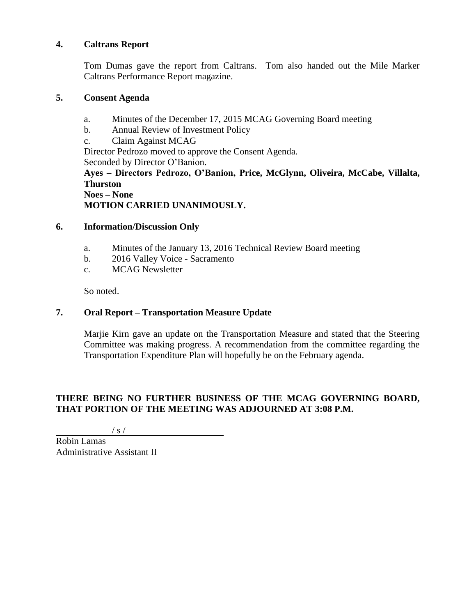# **4. Caltrans Report**

Tom Dumas gave the report from Caltrans. Tom also handed out the Mile Marker Caltrans Performance Report magazine.

# **5. Consent Agenda**

- a. Minutes of the December 17, 2015 MCAG Governing Board meeting
- b. Annual Review of Investment Policy
- c. Claim Against MCAG

Director Pedrozo moved to approve the Consent Agenda. Seconded by Director O'Banion.

**Ayes – Directors Pedrozo, O'Banion, Price, McGlynn, Oliveira, McCabe, Villalta, Thurston Noes – None**

**MOTION CARRIED UNANIMOUSLY.**

# **6. Information/Discussion Only**

- a. Minutes of the January 13, 2016 Technical Review Board meeting
- b. 2016 Valley Voice Sacramento
- c. MCAG Newsletter

So noted.

# **7. Oral Report – Transportation Measure Update**

Marjie Kirn gave an update on the Transportation Measure and stated that the Steering Committee was making progress. A recommendation from the committee regarding the Transportation Expenditure Plan will hopefully be on the February agenda.

# **THERE BEING NO FURTHER BUSINESS OF THE MCAG GOVERNING BOARD, THAT PORTION OF THE MEETING WAS ADJOURNED AT 3:08 P.M.**

/ s /

Robin Lamas Administrative Assistant II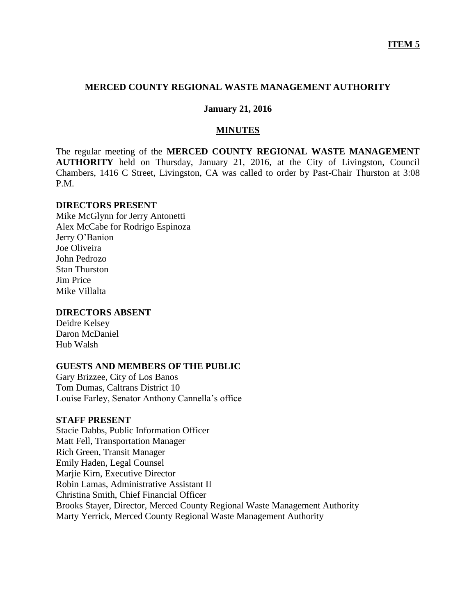# **MERCED COUNTY REGIONAL WASTE MANAGEMENT AUTHORITY**

### **January 21, 2016**

## **MINUTES**

The regular meeting of the **MERCED COUNTY REGIONAL WASTE MANAGEMENT AUTHORITY** held on Thursday, January 21, 2016, at the City of Livingston, Council Chambers, 1416 C Street, Livingston, CA was called to order by Past-Chair Thurston at 3:08 P.M.

### **DIRECTORS PRESENT**

Mike McGlynn for Jerry Antonetti Alex McCabe for Rodrigo Espinoza Jerry O'Banion Joe Oliveira John Pedrozo Stan Thurston Jim Price Mike Villalta

# **DIRECTORS ABSENT**

Deidre Kelsey Daron McDaniel Hub Walsh

# **GUESTS AND MEMBERS OF THE PUBLIC**

Gary Brizzee, City of Los Banos Tom Dumas, Caltrans District 10 Louise Farley, Senator Anthony Cannella's office

### **STAFF PRESENT**

Stacie Dabbs, Public Information Officer Matt Fell, Transportation Manager Rich Green, Transit Manager Emily Haden, Legal Counsel Marjie Kirn, Executive Director Robin Lamas, Administrative Assistant II Christina Smith, Chief Financial Officer Brooks Stayer, Director, Merced County Regional Waste Management Authority Marty Yerrick, Merced County Regional Waste Management Authority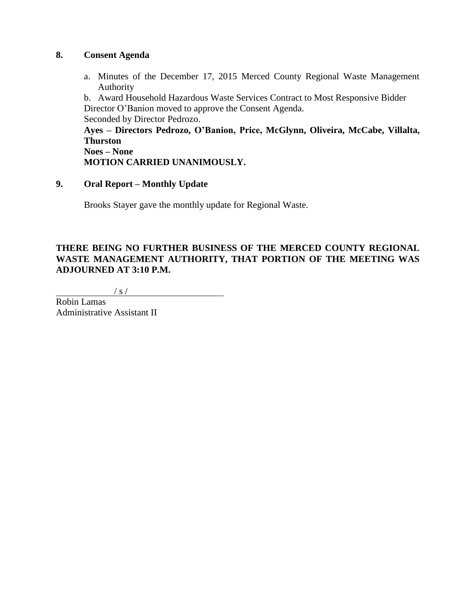# **8. Consent Agenda**

a. Minutes of the December 17, 2015 Merced County Regional Waste Management Authority

b. Award Household Hazardous Waste Services Contract to Most Responsive Bidder Director O'Banion moved to approve the Consent Agenda. Seconded by Director Pedrozo.

**Ayes – Directors Pedrozo, O'Banion, Price, McGlynn, Oliveira, McCabe, Villalta, Thurston Noes – None**

**MOTION CARRIED UNANIMOUSLY.**

# **9. Oral Report – Monthly Update**

Brooks Stayer gave the monthly update for Regional Waste.

# **THERE BEING NO FURTHER BUSINESS OF THE MERCED COUNTY REGIONAL WASTE MANAGEMENT AUTHORITY, THAT PORTION OF THE MEETING WAS ADJOURNED AT 3:10 P.M.**

 $/ s /$ 

Robin Lamas Administrative Assistant II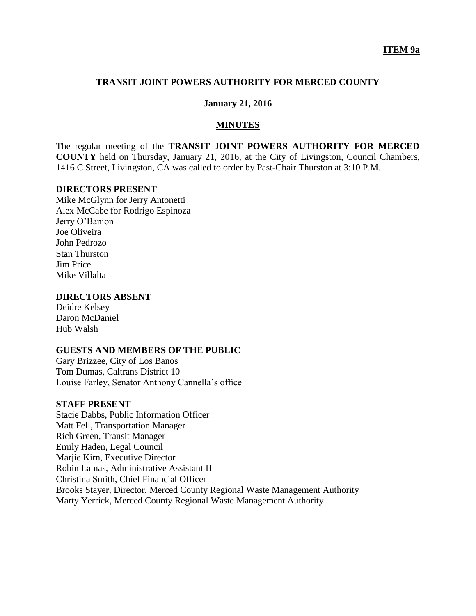### **TRANSIT JOINT POWERS AUTHORITY FOR MERCED COUNTY**

# **January 21, 2016**

#### **MINUTES**

The regular meeting of the **TRANSIT JOINT POWERS AUTHORITY FOR MERCED COUNTY** held on Thursday, January 21, 2016, at the City of Livingston, Council Chambers, 1416 C Street, Livingston, CA was called to order by Past-Chair Thurston at 3:10 P.M.

#### **DIRECTORS PRESENT**

Mike McGlynn for Jerry Antonetti Alex McCabe for Rodrigo Espinoza Jerry O'Banion Joe Oliveira John Pedrozo Stan Thurston Jim Price Mike Villalta

### **DIRECTORS ABSENT**

Deidre Kelsey Daron McDaniel Hub Walsh

# **GUESTS AND MEMBERS OF THE PUBLIC**

Gary Brizzee, City of Los Banos Tom Dumas, Caltrans District 10 Louise Farley, Senator Anthony Cannella's office

#### **STAFF PRESENT**

Stacie Dabbs, Public Information Officer Matt Fell, Transportation Manager Rich Green, Transit Manager Emily Haden, Legal Council Marjie Kirn, Executive Director Robin Lamas, Administrative Assistant II Christina Smith, Chief Financial Officer Brooks Stayer, Director, Merced County Regional Waste Management Authority Marty Yerrick, Merced County Regional Waste Management Authority